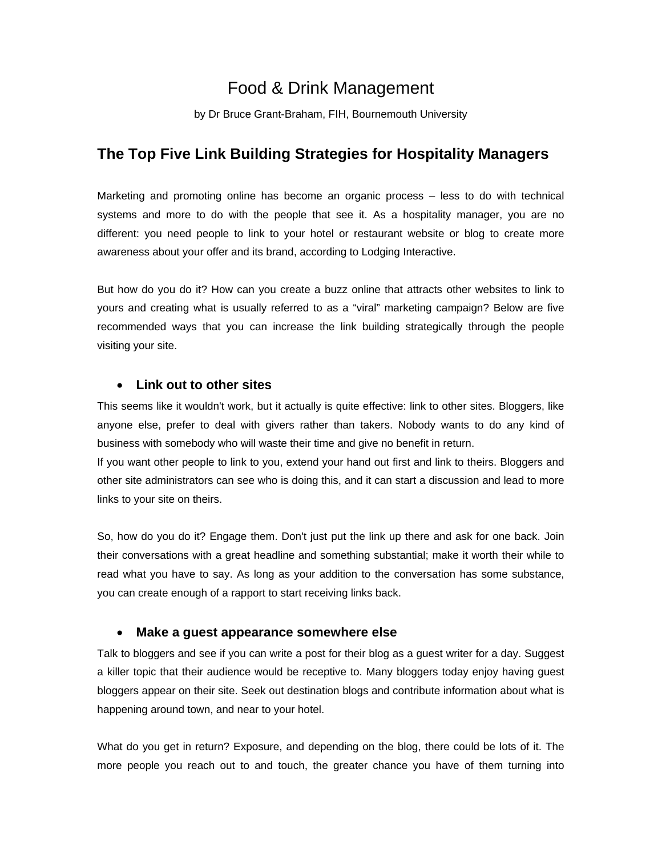# Food & Drink Management

by Dr Bruce Grant-Braham, FIH, Bournemouth University

# **The Top Five Link Building Strategies for Hospitality Managers**

Marketing and promoting online has become an organic process – less to do with technical systems and more to do with the people that see it. As a hospitality manager, you are no different: you need people to link to your hotel or restaurant website or blog to create more awareness about your offer and its brand, according to Lodging Interactive.

But how do you do it? How can you create a buzz online that attracts other websites to link to yours and creating what is usually referred to as a "viral" marketing campaign? Below are five recommended ways that you can increase the link building strategically through the people visiting your site.

#### • **Link out to other sites**

This seems like it wouldn't work, but it actually is quite effective: link to other sites. Bloggers, like anyone else, prefer to deal with givers rather than takers. Nobody wants to do any kind of business with somebody who will waste their time and give no benefit in return.

If you want other people to link to you, extend your hand out first and link to theirs. Bloggers and other site administrators can see who is doing this, and it can start a discussion and lead to more links to your site on theirs.

So, how do you do it? Engage them. Don't just put the link up there and ask for one back. Join their conversations with a great headline and something substantial; make it worth their while to read what you have to say. As long as your addition to the conversation has some substance, you can create enough of a rapport to start receiving links back.

## • **Make a guest appearance somewhere else**

Talk to bloggers and see if you can write a post for their blog as a guest writer for a day. Suggest a killer topic that their audience would be receptive to. Many bloggers today enjoy having guest bloggers appear on their site. Seek out destination blogs and contribute information about what is happening around town, and near to your hotel.

What do you get in return? Exposure, and depending on the blog, there could be lots of it. The more people you reach out to and touch, the greater chance you have of them turning into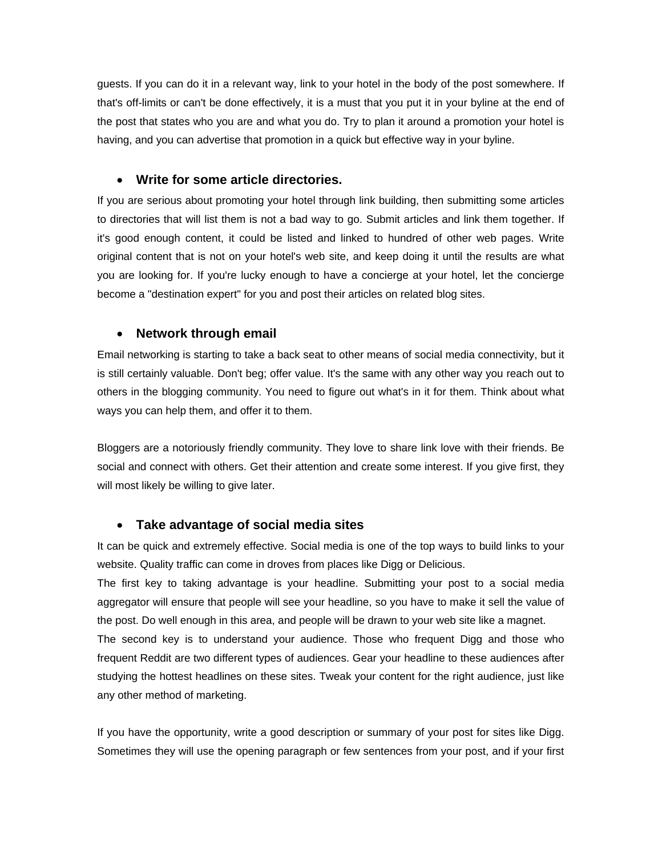guests. If you can do it in a relevant way, link to your hotel in the body of the post somewhere. If that's off-limits or can't be done effectively, it is a must that you put it in your byline at the end of the post that states who you are and what you do. Try to plan it around a promotion your hotel is having, and you can advertise that promotion in a quick but effective way in your byline.

#### • **Write for some article directories.**

If you are serious about promoting your hotel through link building, then submitting some articles to directories that will list them is not a bad way to go. Submit articles and link them together. If it's good enough content, it could be listed and linked to hundred of other web pages. Write original content that is not on your hotel's web site, and keep doing it until the results are what you are looking for. If you're lucky enough to have a concierge at your hotel, let the concierge become a "destination expert" for you and post their articles on related blog sites.

## • **Network through email**

Email networking is starting to take a back seat to other means of social media connectivity, but it is still certainly valuable. Don't beg; offer value. It's the same with any other way you reach out to others in the blogging community. You need to figure out what's in it for them. Think about what ways you can help them, and offer it to them.

Bloggers are a notoriously friendly community. They love to share link love with their friends. Be social and connect with others. Get their attention and create some interest. If you give first, they will most likely be willing to give later.

## • **Take advantage of social media sites**

It can be quick and extremely effective. Social media is one of the top ways to build links to your website. Quality traffic can come in droves from places like Digg or Delicious.

The first key to taking advantage is your headline. Submitting your post to a social media aggregator will ensure that people will see your headline, so you have to make it sell the value of the post. Do well enough in this area, and people will be drawn to your web site like a magnet.

The second key is to understand your audience. Those who frequent Digg and those who frequent Reddit are two different types of audiences. Gear your headline to these audiences after studying the hottest headlines on these sites. Tweak your content for the right audience, just like any other method of marketing.

If you have the opportunity, write a good description or summary of your post for sites like Digg. Sometimes they will use the opening paragraph or few sentences from your post, and if your first